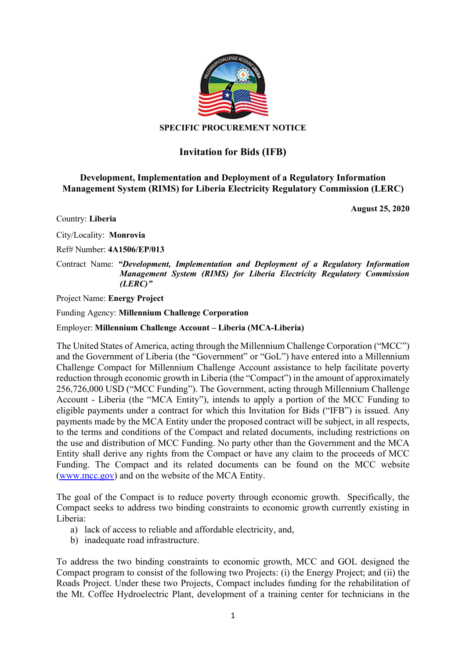

## SPECIFIC PROCUREMENT NOTICE

## Invitation for Bids (IFB)

## Development, Implementation and Deployment of a Regulatory Information Management System (RIMS) for Liberia Electricity Regulatory Commission (LERC)

Country: Liberia

City/Locality: Monrovia

Ref# Number: 4A1506/EP/013

Contract Name: "Development, Implementation and Deployment of a Regulatory Information Management System (RIMS) for Liberia Electricity Regulatory Commission (LERC)"

Project Name: Energy Project

Funding Agency: Millennium Challenge Corporation

Employer: Millennium Challenge Account – Liberia (MCA-Liberia)

The United States of America, acting through the Millennium Challenge Corporation ("MCC") and the Government of Liberia (the "Government" or "GoL") have entered into a Millennium Challenge Compact for Millennium Challenge Account assistance to help facilitate poverty reduction through economic growth in Liberia (the "Compact") in the amount of approximately 256,726,000 USD ("MCC Funding"). The Government, acting through Millennium Challenge Account - Liberia (the "MCA Entity"), intends to apply a portion of the MCC Funding to eligible payments under a contract for which this Invitation for Bids ("IFB") is issued. Any payments made by the MCA Entity under the proposed contract will be subject, in all respects, to the terms and conditions of the Compact and related documents, including restrictions on the use and distribution of MCC Funding. No party other than the Government and the MCA Entity shall derive any rights from the Compact or have any claim to the proceeds of MCC Funding. The Compact and its related documents can be found on the MCC website (www.mcc.gov) and on the website of the MCA Entity.

The goal of the Compact is to reduce poverty through economic growth. Specifically, the Compact seeks to address two binding constraints to economic growth currently existing in Liberia:

- a) lack of access to reliable and affordable electricity, and,
- b) inadequate road infrastructure.

To address the two binding constraints to economic growth, MCC and GOL designed the Compact program to consist of the following two Projects: (i) the Energy Project; and (ii) the Roads Project. Under these two Projects, Compact includes funding for the rehabilitation of the Mt. Coffee Hydroelectric Plant, development of a training center for technicians in the

August 25, 2020